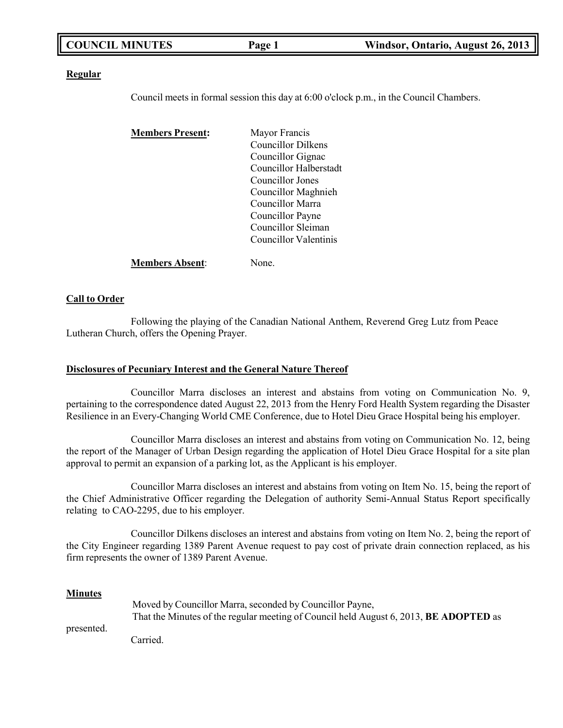| <b>COUNCIL MINUTES</b> | Page 1 | Windsor, Ontario, August 26, 2013 |
|------------------------|--------|-----------------------------------|
|                        |        |                                   |

### **Regular**

Council meets in formal session this day at 6:00 o'clock p.m., in the Council Chambers.

| <b>Members Present:</b> | Mayor Francis             |
|-------------------------|---------------------------|
|                         | <b>Councillor Dilkens</b> |
|                         | Councillor Gignac         |
|                         | Councillor Halberstadt    |
|                         | Councillor Jones          |
|                         | Councillor Maghnieh       |
|                         | Councillor Marra          |
|                         | Councillor Payne          |
|                         | Councillor Sleiman        |
|                         | Councillor Valentinis     |
| <b>Members Absent:</b>  | None.                     |

## **Call to Order**

Following the playing of the Canadian National Anthem, Reverend Greg Lutz from Peace Lutheran Church, offers the Opening Prayer.

### **Disclosures of Pecuniary Interest and the General Nature Thereof**

Councillor Marra discloses an interest and abstains from voting on Communication No. 9, pertaining to the correspondence dated August 22, 2013 from the Henry Ford Health System regarding the Disaster Resilience in an Every-Changing World CME Conference, due to Hotel Dieu Grace Hospital being his employer.

Councillor Marra discloses an interest and abstains from voting on Communication No. 12, being the report of the Manager of Urban Design regarding the application of Hotel Dieu Grace Hospital for a site plan approval to permit an expansion of a parking lot, as the Applicant is his employer.

Councillor Marra discloses an interest and abstains from voting on Item No. 15, being the report of the Chief Administrative Officer regarding the Delegation of authority Semi-Annual Status Report specifically relating to CAO-2295, due to his employer.

Councillor Dilkens discloses an interest and abstains from voting on Item No. 2, being the report of the City Engineer regarding 1389 Parent Avenue request to pay cost of private drain connection replaced, as his firm represents the owner of 1389 Parent Avenue.

### **Minutes**

|            | Moved by Councillor Marra, seconded by Councillor Payne,                                     |  |  |
|------------|----------------------------------------------------------------------------------------------|--|--|
|            | That the Minutes of the regular meeting of Council held August 6, 2013, <b>BE ADOPTED</b> as |  |  |
| presented. |                                                                                              |  |  |
|            | Carried.                                                                                     |  |  |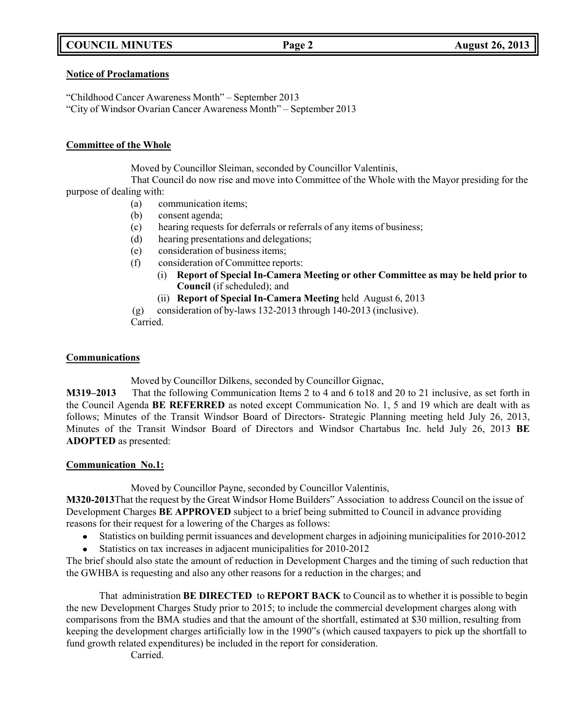# **COUNCIL MINUTES Page 2 August 26, 2013**

## **Notice of Proclamations**

"Childhood Cancer Awareness Month" – September 2013 "City of Windsor Ovarian Cancer Awareness Month" – September 2013

# **Committee of the Whole**

Moved by Councillor Sleiman, seconded by Councillor Valentinis,

That Council do now rise and move into Committee of the Whole with the Mayor presiding for the purpose of dealing with:

- (a) communication items;
- (b) consent agenda;
- (c) hearing requests for deferrals or referrals of any items of business;
- (d) hearing presentations and delegations;
- (e) consideration of business items;
- (f) consideration of Committee reports:
	- (i) **Report of Special In-Camera Meeting or other Committee as may be held prior to Council** (if scheduled); and
	- (ii) **Report of Special In-Camera Meeting** held August 6, 2013

(g) consideration of by-laws 132-2013 through 140-2013 (inclusive). Carried.

# **Communications**

Moved by Councillor Dilkens, seconded by Councillor Gignac,

**M319–2013** That the following Communication Items 2 to 4 and 6 to18 and 20 to 21 inclusive, as set forth in the Council Agenda **BE REFERRED** as noted except Communication No. 1, 5 and 19 which are dealt with as follows; Minutes of the Transit Windsor Board of Directors- Strategic Planning meeting held July 26, 2013, Minutes of the Transit Windsor Board of Directors and Windsor Chartabus Inc. held July 26, 2013 **BE ADOPTED** as presented:

# **Communication No.1:**

Moved by Councillor Payne, seconded by Councillor Valentinis,

**M320-2013**That the request by the Great Windsor Home Builders" Association to address Council on the issue of Development Charges **BE APPROVED** subject to a brief being submitted to Council in advance providing reasons for their request for a lowering of the Charges as follows:

- Statistics on building permit issuances and development charges in adjoining municipalities for 2010-2012
- $\bullet$ Statistics on tax increases in adjacent municipalities for 2010-2012

The brief should also state the amount of reduction in Development Charges and the timing of such reduction that the GWHBA is requesting and also any other reasons for a reduction in the charges; and

That administration **BE DIRECTED** to **REPORT BACK** to Council as to whether it is possible to begin the new Development Charges Study prior to 2015; to include the commercial development charges along with comparisons from the BMA studies and that the amount of the shortfall, estimated at \$30 million, resulting from keeping the development charges artificially low in the 1990"s (which caused taxpayers to pick up the shortfall to fund growth related expenditures) be included in the report for consideration.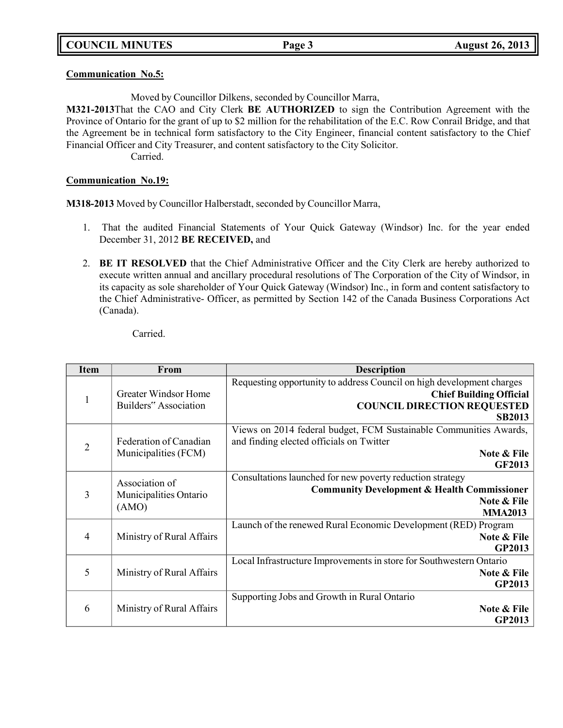# **Communication No.5:**

Moved by Councillor Dilkens, seconded by Councillor Marra,

**M321-2013**That the CAO and City Clerk **BE AUTHORIZED** to sign the Contribution Agreement with the Province of Ontario for the grant of up to \$2 million for the rehabilitation of the E.C. Row Conrail Bridge, and that the Agreement be in technical form satisfactory to the City Engineer, financial content satisfactory to the Chief Financial Officer and City Treasurer, and content satisfactory to the City Solicitor.

Carried.

# **Communication No.19:**

**M318-2013** Moved by Councillor Halberstadt, seconded by Councillor Marra,

- 1. That the audited Financial Statements of Your Quick Gateway (Windsor) Inc. for the year ended December 31, 2012 **BE RECEIVED,** and
- 2. **BE IT RESOLVED** that the Chief Administrative Officer and the City Clerk are hereby authorized to execute written annual and ancillary procedural resolutions of The Corporation of the City of Windsor, in its capacity as sole shareholder of Your Quick Gateway (Windsor) Inc., in form and content satisfactory to the Chief Administrative- Officer, as permitted by Section 142 of the Canada Business Corporations Act (Canada).

| <b>Item</b>    | From                                                 | <b>Description</b>                                                                                                                                             |
|----------------|------------------------------------------------------|----------------------------------------------------------------------------------------------------------------------------------------------------------------|
| 1              | <b>Greater Windsor Home</b><br>Builders" Association | Requesting opportunity to address Council on high development charges<br><b>Chief Building Official</b><br><b>COUNCIL DIRECTION REQUESTED</b><br><b>SB2013</b> |
| $\overline{2}$ | Federation of Canadian<br>Municipalities (FCM)       | Views on 2014 federal budget, FCM Sustainable Communities Awards,<br>and finding elected officials on Twitter<br>Note & File<br><b>GF2013</b>                  |
| 3              | Association of<br>Municipalities Ontario<br>(AMO)    | Consultations launched for new poverty reduction strategy<br><b>Community Development &amp; Health Commissioner</b><br>Note & File<br><b>MMA2013</b>           |
| $\overline{4}$ | Ministry of Rural Affairs                            | Launch of the renewed Rural Economic Development (RED) Program<br>Note & File<br><b>GP2013</b>                                                                 |
| 5              | Ministry of Rural Affairs                            | Local Infrastructure Improvements in store for Southwestern Ontario<br>Note & File<br><b>GP2013</b>                                                            |
| 6              | Ministry of Rural Affairs                            | Supporting Jobs and Growth in Rural Ontario<br>Note & File<br><b>GP2013</b>                                                                                    |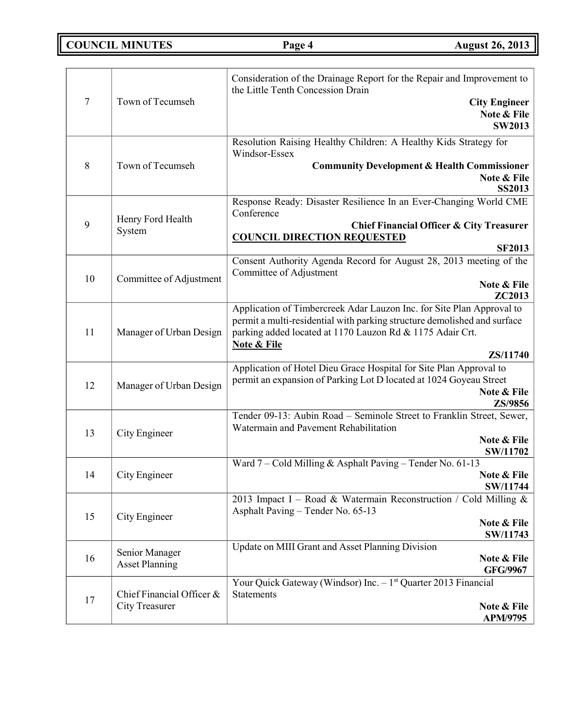**COUNCIL MINUTES Page 4 August 26, 2013**

| 7  | Town of Tecumseh                                   | Consideration of the Drainage Report for the Repair and Improvement to<br>the Little Tenth Concession Drain<br><b>City Engineer</b><br>Note & File<br><b>SW2013</b>                                                                                  |
|----|----------------------------------------------------|------------------------------------------------------------------------------------------------------------------------------------------------------------------------------------------------------------------------------------------------------|
| 8  | Town of Tecumseh                                   | Resolution Raising Healthy Children: A Healthy Kids Strategy for<br>Windsor-Essex<br><b>Community Development &amp; Health Commissioner</b><br>Note & File<br><b>SS2013</b>                                                                          |
| 9  | Henry Ford Health<br>System                        | Response Ready: Disaster Resilience In an Ever-Changing World CME<br>Conference<br><b>Chief Financial Officer &amp; City Treasurer</b><br><b>COUNCIL DIRECTION REQUESTED</b><br><b>SF2013</b>                                                        |
| 10 | Committee of Adjustment                            | Consent Authority Agenda Record for August 28, 2013 meeting of the<br>Committee of Adjustment<br>Note & File<br>ZC2013                                                                                                                               |
| 11 | Manager of Urban Design                            | Application of Timbercreek Adar Lauzon Inc. for Site Plan Approval to<br>permit a multi-residential with parking structure demolished and surface<br>parking added located at 1170 Lauzon Rd & 1175 Adair Crt.<br><b>Note &amp; File</b><br>ZS/11740 |
| 12 | Manager of Urban Design                            | Application of Hotel Dieu Grace Hospital for Site Plan Approval to<br>permit an expansion of Parking Lot D located at 1024 Goyeau Street<br>Note & File<br>ZS/9856                                                                                   |
| 13 | City Engineer                                      | Tender 09-13: Aubin Road - Seminole Street to Franklin Street, Sewer,<br>Watermain and Pavement Rehabilitation<br>Note & File<br>SW/11702                                                                                                            |
| 14 | City Engineer                                      | Ward 7 - Cold Milling & Asphalt Paving - Tender No. 61-13<br>Note & File<br>SW/11744                                                                                                                                                                 |
| 15 | City Engineer                                      | 2013 Impact I – Road & Watermain Reconstruction / Cold Milling &<br>Asphalt Paving - Tender No. 65-13<br>Note & File<br>SW/11743                                                                                                                     |
| 16 | Senior Manager<br><b>Asset Planning</b>            | Update on MIII Grant and Asset Planning Division<br>Note & File<br><b>GFG/9967</b>                                                                                                                                                                   |
| 17 | Chief Financial Officer &<br><b>City Treasurer</b> | Your Quick Gateway (Windsor) Inc. - 1 <sup>st</sup> Quarter 2013 Financial<br><b>Statements</b><br>Note & File<br>APM/9795                                                                                                                           |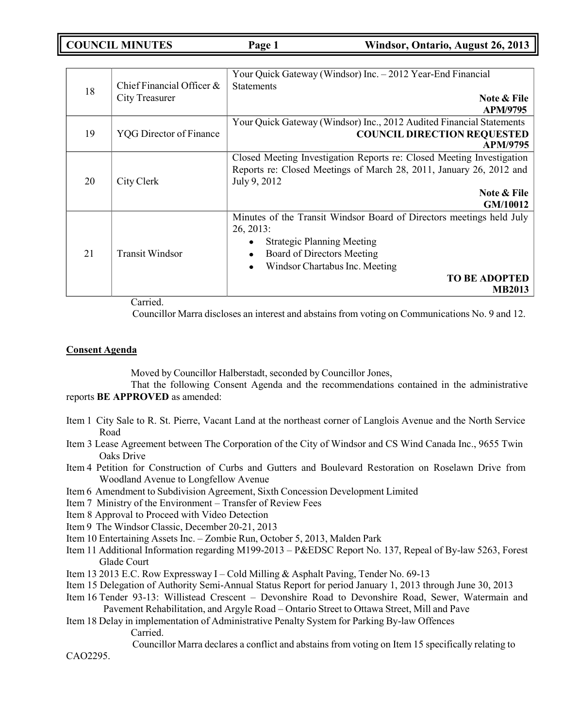| 18 |                                | Your Quick Gateway (Windsor) Inc. - 2012 Year-End Financial           |
|----|--------------------------------|-----------------------------------------------------------------------|
|    | Chief Financial Officer $\&$   | <b>Statements</b>                                                     |
|    | City Treasurer                 | Note & File                                                           |
|    |                                | <b>APM/9795</b>                                                       |
|    |                                | Your Quick Gateway (Windsor) Inc., 2012 Audited Financial Statements  |
| 19 | <b>YQG</b> Director of Finance | <b>COUNCIL DIRECTION REQUESTED</b>                                    |
|    |                                |                                                                       |
|    |                                | APM/9795                                                              |
|    |                                | Closed Meeting Investigation Reports re: Closed Meeting Investigation |
|    | City Clerk                     | Reports re: Closed Meetings of March 28, 2011, January 26, 2012 and   |
| 20 |                                | July 9, 2012                                                          |
|    |                                | Note & File                                                           |
|    |                                |                                                                       |
|    |                                | GM/10012                                                              |
|    |                                | Minutes of the Transit Windsor Board of Directors meetings held July  |
|    |                                | $26, 2013$ :                                                          |
|    | <b>Transit Windsor</b>         | <b>Strategic Planning Meeting</b><br>٠                                |
|    |                                |                                                                       |
| 21 |                                | Board of Directors Meeting<br>$\bullet$                               |
|    |                                | Windsor Chartabus Inc. Meeting<br>$\bullet$                           |
|    |                                | <b>TO BE ADOPTED</b>                                                  |
|    |                                | <b>MB2013</b>                                                         |
|    |                                |                                                                       |

Carried.

Councillor Marra discloses an interest and abstains from voting on Communications No. 9 and 12.

#### **Consent Agenda**

Moved by Councillor Halberstadt, seconded by Councillor Jones,

That the following Consent Agenda and the recommendations contained in the administrative reports **BE APPROVED** as amended:

- Item 1 City Sale to R. St. Pierre, Vacant Land at the northeast corner of Langlois Avenue and the North Service Road
- Item 3 Lease Agreement between The Corporation of the City of Windsor and CS Wind Canada Inc., 9655 Twin Oaks Drive
- Item 4 Petition for Construction of Curbs and Gutters and Boulevard Restoration on Roselawn Drive from Woodland Avenue to Longfellow Avenue
- Item 6 Amendment to Subdivision Agreement, Sixth Concession Development Limited
- Item 7 Ministry of the Environment Transfer of Review Fees
- Item 8 Approval to Proceed with Video Detection
- Item 9 The Windsor Classic, December 20-21, 2013
- Item 10 Entertaining Assets Inc. Zombie Run, October 5, 2013, Malden Park
- Item 11 Additional Information regarding M199-2013 P&EDSC Report No. 137, Repeal of By-law 5263, Forest Glade Court
- Item 13 2013 E.C. Row Expressway I Cold Milling & Asphalt Paving, Tender No. 69-13
- Item 15 Delegation of Authority Semi-Annual Status Report for period January 1, 2013 through June 30, 2013
- Item 16 Tender 93-13: Willistead Crescent Devonshire Road to Devonshire Road, Sewer, Watermain and Pavement Rehabilitation, and Argyle Road – Ontario Street to Ottawa Street, Mill and Pave
- Item 18 Delay in implementation of Administrative Penalty System for Parking By-law Offences Carried.

Councillor Marra declares a conflict and abstains from voting on Item 15 specifically relating to

CAO2295.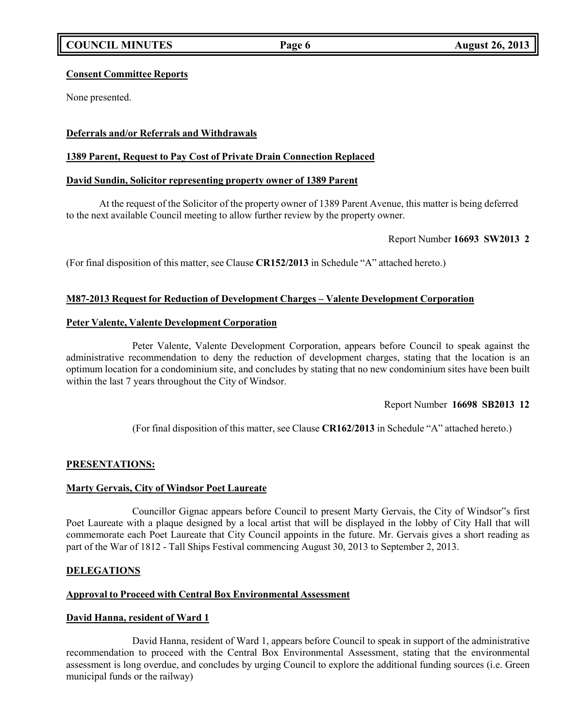# **Consent Committee Reports**

None presented.

# **Deferrals and/or Referrals and Withdrawals**

# **1389 Parent, Request to Pay Cost of Private Drain Connection Replaced**

# **David Sundin, Solicitor representing property owner of 1389 Parent**

At the request of the Solicitor of the property owner of 1389 Parent Avenue, this matter is being deferred to the next available Council meeting to allow further review by the property owner.

### Report Number **16693 SW2013 2**

(For final disposition of this matter, see Clause **CR152/2013** in Schedule "A" attached hereto.)

# **M87-2013 Request for Reduction of Development Charges – Valente Development Corporation**

### **Peter Valente, Valente Development Corporation**

Peter Valente, Valente Development Corporation, appears before Council to speak against the administrative recommendation to deny the reduction of development charges, stating that the location is an optimum location for a condominium site, and concludes by stating that no new condominium sites have been built within the last 7 years throughout the City of Windsor.

# Report Number **16698 SB2013 12**

(For final disposition of this matter, see Clause **CR162/2013** in Schedule "A" attached hereto.)

# **PRESENTATIONS:**

# **Marty Gervais, City of Windsor Poet Laureate**

Councillor Gignac appears before Council to present Marty Gervais, the City of Windsor"s first Poet Laureate with a plaque designed by a local artist that will be displayed in the lobby of City Hall that will commemorate each Poet Laureate that City Council appoints in the future. Mr. Gervais gives a short reading as part of the War of 1812 - Tall Ships Festival commencing August 30, 2013 to September 2, 2013.

# **DELEGATIONS**

# **Approval to Proceed with Central Box Environmental Assessment**

# **David Hanna, resident of Ward 1**

David Hanna, resident of Ward 1, appears before Council to speak in support of the administrative recommendation to proceed with the Central Box Environmental Assessment, stating that the environmental assessment is long overdue, and concludes by urging Council to explore the additional funding sources (i.e. Green municipal funds or the railway)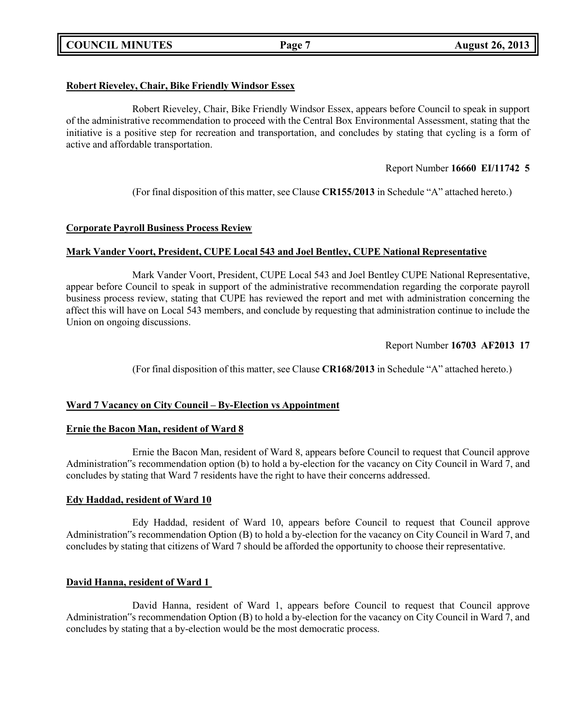# **COUNCIL MINUTES Page 7 August 26, 2013**

# **Robert Rieveley, Chair, Bike Friendly Windsor Essex**

Robert Rieveley, Chair, Bike Friendly Windsor Essex, appears before Council to speak in support of the administrative recommendation to proceed with the Central Box Environmental Assessment, stating that the initiative is a positive step for recreation and transportation, and concludes by stating that cycling is a form of active and affordable transportation.

# Report Number **16660 EI/11742 5**

(For final disposition of this matter, see Clause **CR155/2013** in Schedule "A" attached hereto.)

# **Corporate Payroll Business Process Review**

# **Mark Vander Voort, President, CUPE Local 543 and Joel Bentley, CUPE National Representative**

Mark Vander Voort, President, CUPE Local 543 and Joel Bentley CUPE National Representative, appear before Council to speak in support of the administrative recommendation regarding the corporate payroll business process review, stating that CUPE has reviewed the report and met with administration concerning the affect this will have on Local 543 members, and conclude by requesting that administration continue to include the Union on ongoing discussions.

Report Number **16703 AF2013 17**

(For final disposition of this matter, see Clause **CR168/2013** in Schedule "A" attached hereto.)

# **Ward 7 Vacancy on City Council – By-Election vs Appointment**

# **Ernie the Bacon Man, resident of Ward 8**

Ernie the Bacon Man, resident of Ward 8, appears before Council to request that Council approve Administration"s recommendation option (b) to hold a by-election for the vacancy on City Council in Ward 7, and concludes by stating that Ward 7 residents have the right to have their concerns addressed.

# **Edy Haddad, resident of Ward 10**

Edy Haddad, resident of Ward 10, appears before Council to request that Council approve Administration"s recommendation Option (B) to hold a by-election for the vacancy on City Council in Ward 7, and concludes by stating that citizens of Ward 7 should be afforded the opportunity to choose their representative.

# **David Hanna, resident of Ward 1**

David Hanna, resident of Ward 1, appears before Council to request that Council approve Administration"s recommendation Option (B) to hold a by-election for the vacancy on City Council in Ward 7, and concludes by stating that a by-election would be the most democratic process.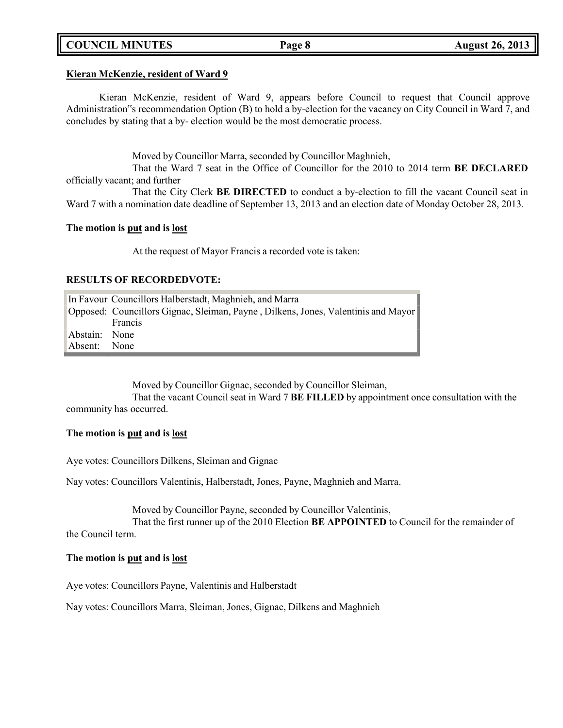# **COUNCIL MINUTES Page 8 August 26, 2013**

### **Kieran McKenzie, resident of Ward 9**

Kieran McKenzie, resident of Ward 9, appears before Council to request that Council approve Administration"s recommendation Option (B) to hold a by-election for the vacancy on City Council in Ward 7, and concludes by stating that a by- election would be the most democratic process.

Moved by Councillor Marra, seconded by Councillor Maghnieh,

That the Ward 7 seat in the Office of Councillor for the 2010 to 2014 term **BE DECLARED** officially vacant; and further

That the City Clerk **BE DIRECTED** to conduct a by-election to fill the vacant Council seat in Ward 7 with a nomination date deadline of September 13, 2013 and an election date of Monday October 28, 2013.

### **The motion is put and is lost**

At the request of Mayor Francis a recorded vote is taken:

### **RESULTS OF RECORDEDVOTE:**

|               | In Favour Councillors Halberstadt, Maghnieh, and Marra                            |  |  |
|---------------|-----------------------------------------------------------------------------------|--|--|
|               | Opposed: Councillors Gignac, Sleiman, Payne, Dilkens, Jones, Valentinis and Mayor |  |  |
|               | Francis                                                                           |  |  |
| Abstain: None |                                                                                   |  |  |
| Absent: None  |                                                                                   |  |  |

Moved by Councillor Gignac, seconded by Councillor Sleiman,

That the vacant Council seat in Ward 7 **BE FILLED** by appointment once consultation with the community has occurred.

### **The motion is put and is lost**

Aye votes: Councillors Dilkens, Sleiman and Gignac

Nay votes: Councillors Valentinis, Halberstadt, Jones, Payne, Maghnieh and Marra.

Moved by Councillor Payne, seconded by Councillor Valentinis,

That the first runner up of the 2010 Election **BE APPOINTED** to Council for the remainder of the Council term.

### **The motion is put and is lost**

Aye votes: Councillors Payne, Valentinis and Halberstadt

Nay votes: Councillors Marra, Sleiman, Jones, Gignac, Dilkens and Maghnieh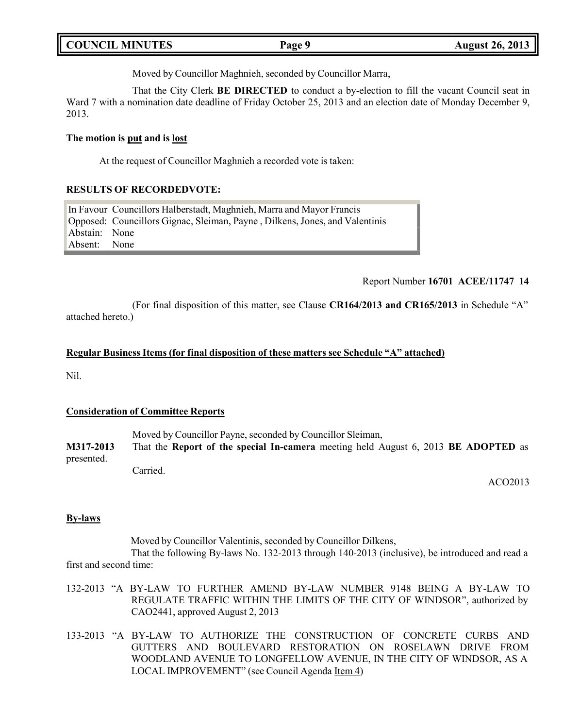| <b>COUNCIL MINUTES</b> | Page 9 | <b>August 26, 2013</b> |
|------------------------|--------|------------------------|
|                        |        |                        |

Moved by Councillor Maghnieh, seconded by Councillor Marra,

That the City Clerk **BE DIRECTED** to conduct a by-election to fill the vacant Council seat in Ward 7 with a nomination date deadline of Friday October 25, 2013 and an election date of Monday December 9, 2013.

### **The motion is put and is lost**

At the request of Councillor Maghnieh a recorded vote is taken:

# **RESULTS OF RECORDEDVOTE:**

In Favour Councillors Halberstadt, Maghnieh, Marra and Mayor Francis Opposed: Councillors Gignac, Sleiman, Payne , Dilkens, Jones, and Valentinis Abstain: None<br>Absent: None Absent:

# Report Number **16701 ACEE/11747 14**

(For final disposition of this matter, see Clause **CR164/2013 and CR165/2013** in Schedule "A" attached hereto.)

### **Regular Business Items (for final disposition of these matters see Schedule "A" attached)**

Nil.

# **Consideration of Committee Reports**

Moved by Councillor Payne, seconded by Councillor Sleiman, **M317-2013** That the **Report of the special In-camera** meeting held August 6, 2013 **BE ADOPTED** as presented. Carried.

ACO2013

# **By-laws**

Moved by Councillor Valentinis, seconded by Councillor Dilkens, That the following By-laws No. 132-2013 through 140-2013 (inclusive), be introduced and read a first and second time:

- 132-2013 "A BY-LAW TO FURTHER AMEND BY-LAW NUMBER 9148 BEING A BY-LAW TO REGULATE TRAFFIC WITHIN THE LIMITS OF THE CITY OF WINDSOR", authorized by CAO2441, approved August 2, 2013
- 133-2013 "A BY-LAW TO AUTHORIZE THE CONSTRUCTION OF CONCRETE CURBS AND GUTTERS AND BOULEVARD RESTORATION ON ROSELAWN DRIVE FROM WOODLAND AVENUE TO LONGFELLOW AVENUE, IN THE CITY OF WINDSOR, AS A LOCAL IMPROVEMENT" (see Council Agenda Item 4)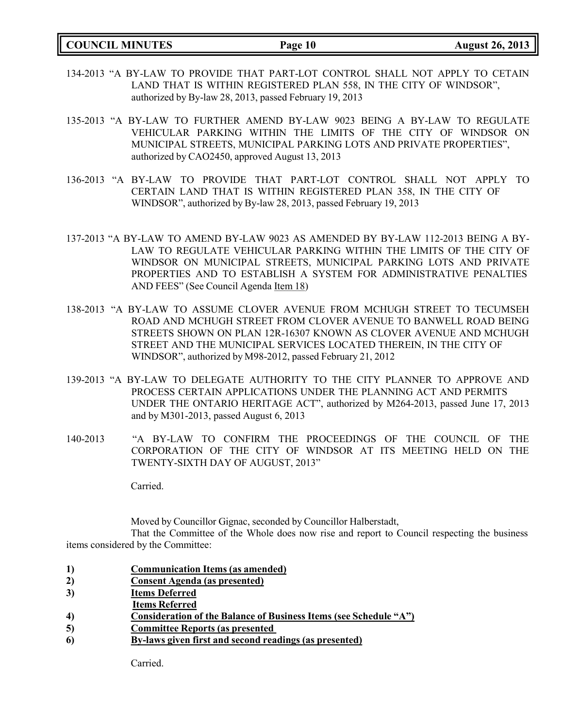**COUNCIL MINUTES Page 10 August 26, 2013**

- 134-2013 "A BY-LAW TO PROVIDE THAT PART-LOT CONTROL SHALL NOT APPLY TO CETAIN LAND THAT IS WITHIN REGISTERED PLAN 558, IN THE CITY OF WINDSOR", authorized by By-law 28, 2013, passed February 19, 2013
- 135-2013 "A BY-LAW TO FURTHER AMEND BY-LAW 9023 BEING A BY-LAW TO REGULATE VEHICULAR PARKING WITHIN THE LIMITS OF THE CITY OF WINDSOR ON MUNICIPAL STREETS, MUNICIPAL PARKING LOTS AND PRIVATE PROPERTIES", authorized by CAO2450, approved August 13, 2013
- 136-2013 "A BY-LAW TO PROVIDE THAT PART-LOT CONTROL SHALL NOT APPLY TO CERTAIN LAND THAT IS WITHIN REGISTERED PLAN 358, IN THE CITY OF WINDSOR", authorized by By-law 28, 2013, passed February 19, 2013
- 137-2013 "A BY-LAW TO AMEND BY-LAW 9023 AS AMENDED BY BY-LAW 112-2013 BEING A BY-LAW TO REGULATE VEHICULAR PARKING WITHIN THE LIMITS OF THE CITY OF WINDSOR ON MUNICIPAL STREETS, MUNICIPAL PARKING LOTS AND PRIVATE PROPERTIES AND TO ESTABLISH A SYSTEM FOR ADMINISTRATIVE PENALTIES AND FEES" (See Council Agenda Item 18)
- 138-2013 "A BY-LAW TO ASSUME CLOVER AVENUE FROM MCHUGH STREET TO TECUMSEH ROAD AND MCHUGH STREET FROM CLOVER AVENUE TO BANWELL ROAD BEING STREETS SHOWN ON PLAN 12R-16307 KNOWN AS CLOVER AVENUE AND MCHUGH STREET AND THE MUNICIPAL SERVICES LOCATED THEREIN, IN THE CITY OF WINDSOR", authorized by M98-2012, passed February 21, 2012
- 139-2013 "A BY-LAW TO DELEGATE AUTHORITY TO THE CITY PLANNER TO APPROVE AND PROCESS CERTAIN APPLICATIONS UNDER THE PLANNING ACT AND PERMITS UNDER THE ONTARIO HERITAGE ACT", authorized by M264-2013, passed June 17, 2013 and by M301-2013, passed August 6, 2013
- 140-2013 "A BY-LAW TO CONFIRM THE PROCEEDINGS OF THE COUNCIL OF THE CORPORATION OF THE CITY OF WINDSOR AT ITS MEETING HELD ON THE TWENTY-SIXTH DAY OF AUGUST, 2013"

Carried.

Moved by Councillor Gignac, seconded by Councillor Halberstadt,

That the Committee of the Whole does now rise and report to Council respecting the business items considered by the Committee:

- **1) Communication Items (as amended)**
- **2) Consent Agenda (as presented)**
- **3) Items Deferred**
- **Items Referred**
- **4) Consideration of the Balance of Business Items (see Schedule "A")**
- **5) Committee Reports (as presented**
- **6) By-laws given first and second readings (as presented)**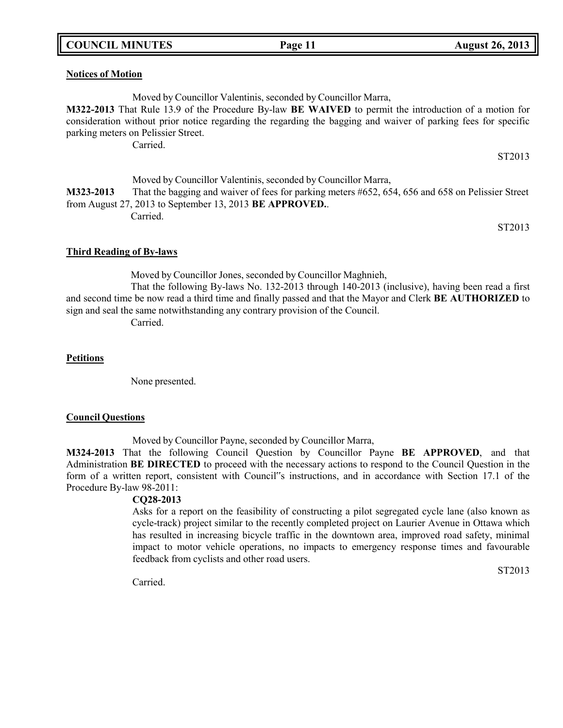# **COUNCIL MINUTES Page 11 August 26, 2013**

### **Notices of Motion**

Moved by Councillor Valentinis, seconded by Councillor Marra,

**M322-2013** That Rule 13.9 of the Procedure By-law **BE WAIVED** to permit the introduction of a motion for consideration without prior notice regarding the regarding the bagging and waiver of parking fees for specific parking meters on Pelissier Street.

Carried.

ST2013

Moved by Councillor Valentinis, seconded by Councillor Marra, **M323-2013** That the bagging and waiver of fees for parking meters #652, 654, 656 and 658 on Pelissier Street from August 27, 2013 to September 13, 2013 **BE APPROVED.**. Carried.

ST2013

### **Third Reading of By-laws**

Moved by Councillor Jones, seconded by Councillor Maghnieh,

That the following By-laws No. 132-2013 through 140-2013 (inclusive), having been read a first and second time be now read a third time and finally passed and that the Mayor and Clerk **BE AUTHORIZED** to sign and seal the same notwithstanding any contrary provision of the Council.

Carried.

### **Petitions**

None presented.

### **Council Questions**

Moved by Councillor Payne, seconded by Councillor Marra,

**M324-2013** That the following Council Question by Councillor Payne **BE APPROVED**, and that Administration **BE DIRECTED** to proceed with the necessary actions to respond to the Council Question in the form of a written report, consistent with Council"s instructions, and in accordance with Section 17.1 of the Procedure By-law 98-2011:

# **CQ28-2013**

Asks for a report on the feasibility of constructing a pilot segregated cycle lane (also known as cycle-track) project similar to the recently completed project on Laurier Avenue in Ottawa which has resulted in increasing bicycle traffic in the downtown area, improved road safety, minimal impact to motor vehicle operations, no impacts to emergency response times and favourable feedback from cyclists and other road users.

Carried.

ST2013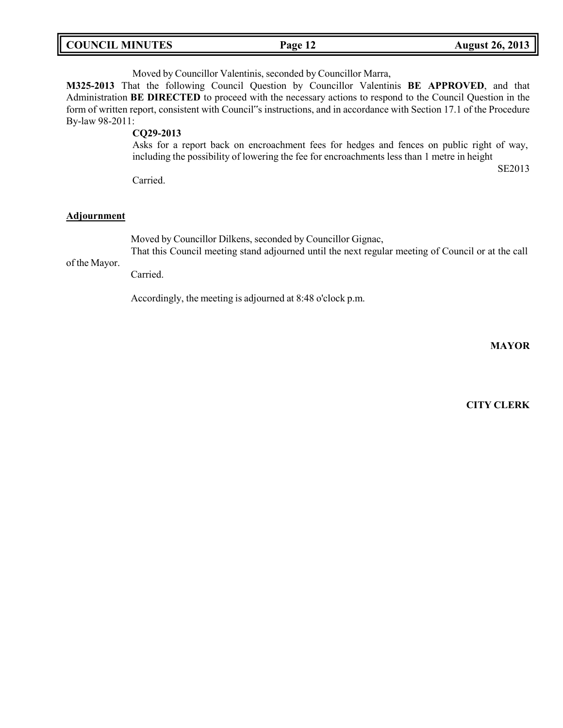| <b>COUNCIL MINUTES</b> | Page 12 | <b>August 26, 2013</b> |
|------------------------|---------|------------------------|
|                        |         |                        |

Moved by Councillor Valentinis, seconded by Councillor Marra,

**M325-2013** That the following Council Question by Councillor Valentinis **BE APPROVED**, and that Administration **BE DIRECTED** to proceed with the necessary actions to respond to the Council Question in the form of written report, consistent with Council"s instructions, and in accordance with Section 17.1 of the Procedure By-law 98-2011:

**CQ29-2013**

Asks for a report back on encroachment fees for hedges and fences on public right of way, including the possibility of lowering the fee for encroachments less than 1 metre in height

Carried.

#### **Adjournment**

of the Mayor.

Moved by Councillor Dilkens, seconded by Councillor Gignac,

That this Council meeting stand adjourned until the next regular meeting of Council or at the call

Carried.

Accordingly, the meeting is adjourned at 8:48 o'clock p.m.

**MAYOR**

SE2013

**CITY CLERK**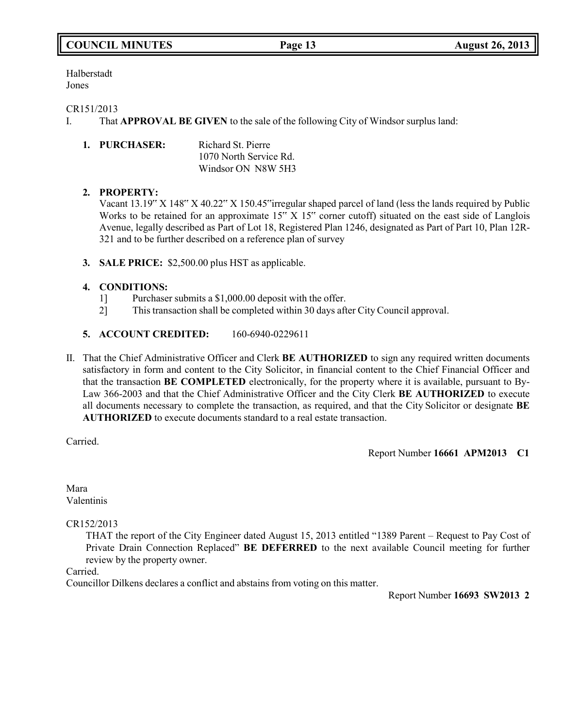# **COUNCIL MINUTES Page 13 August 26, 2013**

Halberstadt Jones

## CR151/2013

I. That **APPROVAL BE GIVEN** to the sale of the following City of Windsor surplus land:

| 1. PURCHASER: | Richard St. Pierre     |
|---------------|------------------------|
|               | 1070 North Service Rd. |
|               | Windsor ON N8W 5H3     |

# **2. PROPERTY:**

Vacant 13.19" X 148" X 40.22" X 150.45"irregular shaped parcel of land (less the lands required by Public Works to be retained for an approximate  $15'' \times 15''$  corner cutoff) situated on the east side of Langlois Avenue, legally described as Part of Lot 18, Registered Plan 1246, designated as Part of Part 10, Plan 12R-321 and to be further described on a reference plan of survey

**3. SALE PRICE:** \$2,500.00 plus HST as applicable.

# **4. CONDITIONS:**

- 1] Purchaser submits a \$1,000.00 deposit with the offer.
- 2] This transaction shall be completed within 30 days after City Council approval.
- **5. ACCOUNT CREDITED:** 160-6940-0229611
- II. That the Chief Administrative Officer and Clerk **BE AUTHORIZED** to sign any required written documents satisfactory in form and content to the City Solicitor, in financial content to the Chief Financial Officer and that the transaction **BE COMPLETED** electronically, for the property where it is available, pursuant to By-Law 366-2003 and that the Chief Administrative Officer and the City Clerk **BE AUTHORIZED** to execute all documents necessary to complete the transaction, as required, and that the City Solicitor or designate **BE AUTHORIZED** to execute documents standard to a real estate transaction.

Carried.

Report Number **16661 APM2013 C1**

Mara Valentinis

CR152/2013

THAT the report of the City Engineer dated August 15, 2013 entitled "1389 Parent – Request to Pay Cost of Private Drain Connection Replaced" **BE DEFERRED** to the next available Council meeting for further review by the property owner.

Carried.

Councillor Dilkens declares a conflict and abstains from voting on this matter.

Report Number **16693 SW2013 2**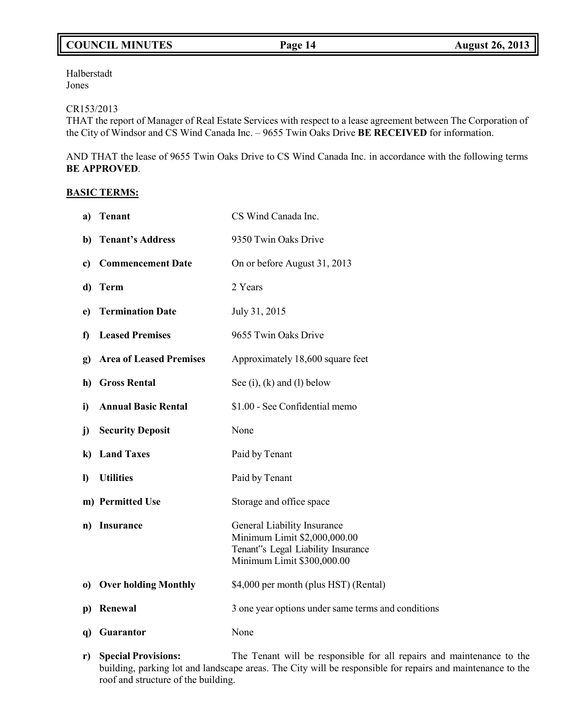# **COUNCIL MINUTES Page 14 August 26, 2013**

Halberstadt Jones

### CR153/2013

THAT the report of Manager of Real Estate Services with respect to a lease agreement between The Corporation of the City of Windsor and CS Wind Canada Inc. – 9655 Twin Oaks Drive **BE RECEIVED** for information.

AND THAT the lease of 9655 Twin Oaks Drive to CS Wind Canada Inc. in accordance with the following terms **BE APPROVED**.

# **BASIC TERMS:**

| <b>Tenant</b><br>a)                            | CS Wind Canada Inc.                                                                                                             |
|------------------------------------------------|---------------------------------------------------------------------------------------------------------------------------------|
| <b>Tenant's Address</b><br>b)                  | 9350 Twin Oaks Drive                                                                                                            |
| <b>Commencement Date</b><br>c)                 | On or before August 31, 2013                                                                                                    |
| <b>Term</b><br>d)                              | 2 Years                                                                                                                         |
| <b>Termination Date</b><br>e)                  | July 31, 2015                                                                                                                   |
| <b>Leased Premises</b><br>f)                   | 9655 Twin Oaks Drive                                                                                                            |
| <b>Area of Leased Premises</b><br>$\mathbf{g}$ | Approximately 18,600 square feet                                                                                                |
| <b>Gross Rental</b><br>h)                      | See $(i)$ , $(k)$ and $(l)$ below                                                                                               |
| <b>Annual Basic Rental</b><br>i)               | \$1.00 - See Confidential memo                                                                                                  |
| <b>Security Deposit</b><br>j)                  | None                                                                                                                            |
| <b>Land Taxes</b><br>$\bf k)$                  | Paid by Tenant                                                                                                                  |
| <b>Utilities</b><br>$\bf{I}$                   | Paid by Tenant                                                                                                                  |
| m) Permitted Use                               | Storage and office space                                                                                                        |
| <b>Insurance</b><br>n)                         | General Liability Insurance<br>Minimum Limit \$2,000,000.00<br>Tenant"s Legal Liability Insurance<br>Minimum Limit \$300,000.00 |
| <b>Over holding Monthly</b><br>$\bf{0}$        | \$4,000 per month (plus HST) (Rental)                                                                                           |
| Renewal<br>p)                                  | 3 one year options under same terms and conditions                                                                              |
| Guarantor<br>q)                                | None                                                                                                                            |

**r) Special Provisions:** The Tenant will be responsible for all repairs and maintenance to the building, parking lot and landscape areas. The City will be responsible for repairs and maintenance to the roof and structure of the building.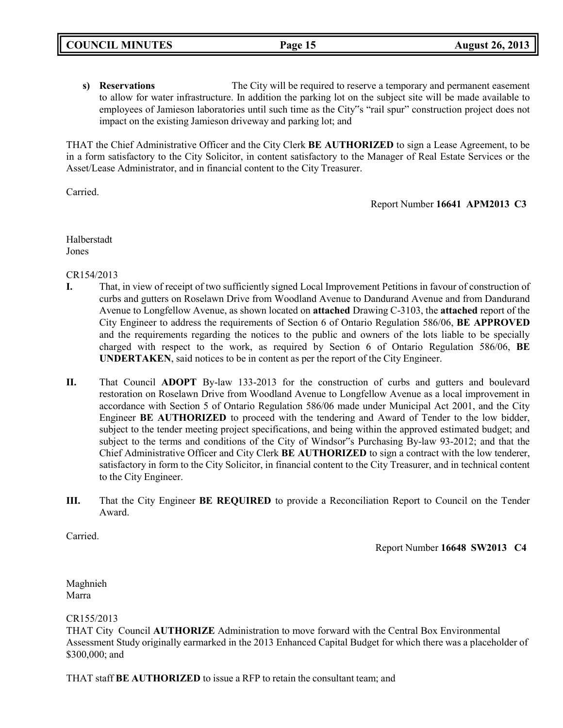**s) Reservations** The City will be required to reserve a temporary and permanent easement to allow for water infrastructure. In addition the parking lot on the subject site will be made available to employees of Jamieson laboratories until such time as the City"s "rail spur" construction project does not impact on the existing Jamieson driveway and parking lot; and

THAT the Chief Administrative Officer and the City Clerk **BE AUTHORIZED** to sign a Lease Agreement, to be in a form satisfactory to the City Solicitor, in content satisfactory to the Manager of Real Estate Services or the Asset/Lease Administrator, and in financial content to the City Treasurer.

Carried.

Report Number **16641 APM2013 C3**

Halberstadt Jones

CR154/2013

- **I.** That, in view of receipt of two sufficiently signed Local Improvement Petitions in favour of construction of curbs and gutters on Roselawn Drive from Woodland Avenue to Dandurand Avenue and from Dandurand Avenue to Longfellow Avenue, as shown located on **attached** Drawing C-3103, the **attached** report of the City Engineer to address the requirements of Section 6 of Ontario Regulation 586/06, **BE APPROVED** and the requirements regarding the notices to the public and owners of the lots liable to be specially charged with respect to the work, as required by Section 6 of Ontario Regulation 586/06, **BE UNDERTAKEN**, said notices to be in content as per the report of the City Engineer.
- **II.** That Council **ADOPT** By-law 133-2013 for the construction of curbs and gutters and boulevard restoration on Roselawn Drive from Woodland Avenue to Longfellow Avenue as a local improvement in accordance with Section 5 of Ontario Regulation 586/06 made under Municipal Act 2001, and the City Engineer **BE AUTHORIZED** to proceed with the tendering and Award of Tender to the low bidder, subject to the tender meeting project specifications, and being within the approved estimated budget; and subject to the terms and conditions of the City of Windsor"s Purchasing By-law 93-2012; and that the Chief Administrative Officer and City Clerk **BE AUTHORIZED** to sign a contract with the low tenderer, satisfactory in form to the City Solicitor, in financial content to the City Treasurer, and in technical content to the City Engineer.
- **III.** That the City Engineer **BE REQUIRED** to provide a Reconciliation Report to Council on the Tender Award.

Carried.

Report Number **16648 SW2013 C4**

Maghnieh Marra

CR155/2013

THAT City Council **AUTHORIZE** Administration to move forward with the Central Box Environmental Assessment Study originally earmarked in the 2013 Enhanced Capital Budget for which there was a placeholder of \$300,000; and

THAT staff **BE AUTHORIZED** to issue a RFP to retain the consultant team; and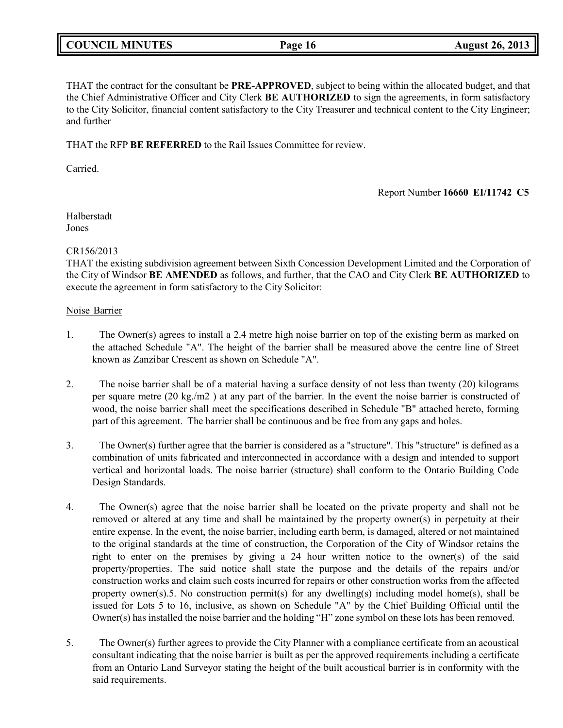# **COUNCIL MINUTES Page 16 August 26, 2013**

THAT the contract for the consultant be **PRE-APPROVED**, subject to being within the allocated budget, and that the Chief Administrative Officer and City Clerk **BE AUTHORIZED** to sign the agreements, in form satisfactory to the City Solicitor, financial content satisfactory to the City Treasurer and technical content to the City Engineer; and further

THAT the RFP **BE REFERRED** to the Rail Issues Committee for review.

Carried.

# Report Number **16660 EI/11742 C5**

Halberstadt Jones

# CR156/2013

THAT the existing subdivision agreement between Sixth Concession Development Limited and the Corporation of the City of Windsor **BE AMENDED** as follows, and further, that the CAO and City Clerk **BE AUTHORIZED** to execute the agreement in form satisfactory to the City Solicitor:

# Noise Barrier

- 1. The Owner(s) agrees to install a 2.4 metre high noise barrier on top of the existing berm as marked on the attached Schedule "A". The height of the barrier shall be measured above the centre line of Street known as Zanzibar Crescent as shown on Schedule "A".
- 2. The noise barrier shall be of a material having a surface density of not less than twenty (20) kilograms per square metre (20 kg./m2 ) at any part of the barrier. In the event the noise barrier is constructed of wood, the noise barrier shall meet the specifications described in Schedule "B" attached hereto, forming part of this agreement. The barrier shall be continuous and be free from any gaps and holes.
- 3. The Owner(s) further agree that the barrier is considered as a "structure". This "structure" is defined as a combination of units fabricated and interconnected in accordance with a design and intended to support vertical and horizontal loads. The noise barrier (structure) shall conform to the Ontario Building Code Design Standards.
- 4. The Owner(s) agree that the noise barrier shall be located on the private property and shall not be removed or altered at any time and shall be maintained by the property owner(s) in perpetuity at their entire expense. In the event, the noise barrier, including earth berm, is damaged, altered or not maintained to the original standards at the time of construction, the Corporation of the City of Windsor retains the right to enter on the premises by giving a 24 hour written notice to the owner(s) of the said property/properties. The said notice shall state the purpose and the details of the repairs and/or construction works and claim such costs incurred for repairs or other construction works from the affected property owner(s).5. No construction permit(s) for any dwelling(s) including model home(s), shall be issued for Lots 5 to 16, inclusive, as shown on Schedule "A" by the Chief Building Official until the Owner(s) has installed the noise barrier and the holding "H" zone symbol on these lots has been removed.
- 5. The Owner(s) further agrees to provide the City Planner with a compliance certificate from an acoustical consultant indicating that the noise barrier is built as per the approved requirements including a certificate from an Ontario Land Surveyor stating the height of the built acoustical barrier is in conformity with the said requirements.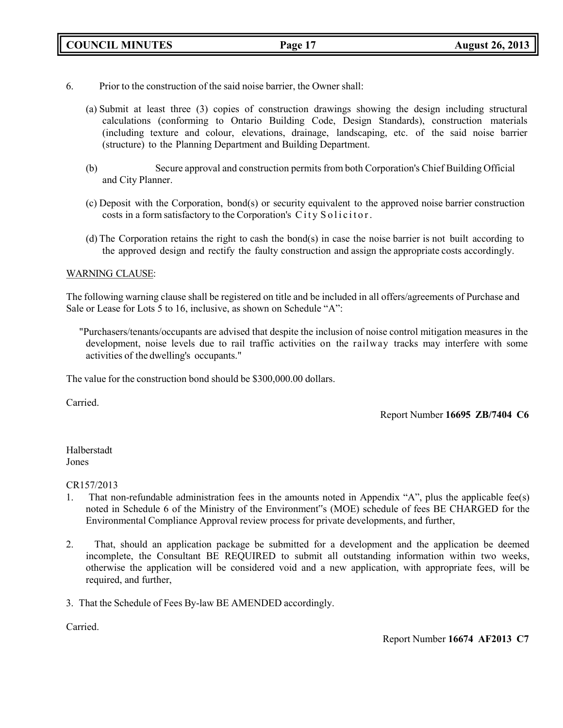- 6. Prior to the construction of the said noise barrier, the Owner shall:
	- (a) Submit at least three (3) copies of construction drawings showing the design including structural calculations (conforming to Ontario Building Code, Design Standards), construction materials (including texture and colour, elevations, drainage, landscaping, etc. of the said noise barrier (structure) to the Planning Department and Building Department.
	- (b) Secure approval and construction permits from both Corporation's Chief Building Official and City Planner.
	- (c) Deposit with the Corporation, bond(s) or security equivalent to the approved noise barrier construction costs in a form satisfactory to the Corporation's City Solicitor.
	- (d) The Corporation retains the right to cash the bond(s) in case the noise barrier is not built according to the approved design and rectify the faulty construction and assign the appropriate costs accordingly.

# WARNING CLAUSE:

The following warning clause shall be registered on title and be included in all offers/agreements of Purchase and Sale or Lease for Lots 5 to 16, inclusive, as shown on Schedule "A":

"Purchasers/tenants/occupants are advised that despite the inclusion of noise control mitigation measures in the development, noise levels due to rail traffic activities on the railway tracks may interfere with some activities of the dwelling's occupants."

The value for the construction bond should be \$300,000.00 dollars.

Carried.

Report Number **16695 ZB/7404 C6**

Halberstadt Jones

CR157/2013

- 1. That non-refundable administration fees in the amounts noted in Appendix "A", plus the applicable fee(s) noted in Schedule 6 of the Ministry of the Environment"s (MOE) schedule of fees BE CHARGED for the Environmental Compliance Approval review process for private developments, and further,
- 2. That, should an application package be submitted for a development and the application be deemed incomplete, the Consultant BE REQUIRED to submit all outstanding information within two weeks, otherwise the application will be considered void and a new application, with appropriate fees, will be required, and further,
- 3. That the Schedule of Fees By-law BE AMENDED accordingly.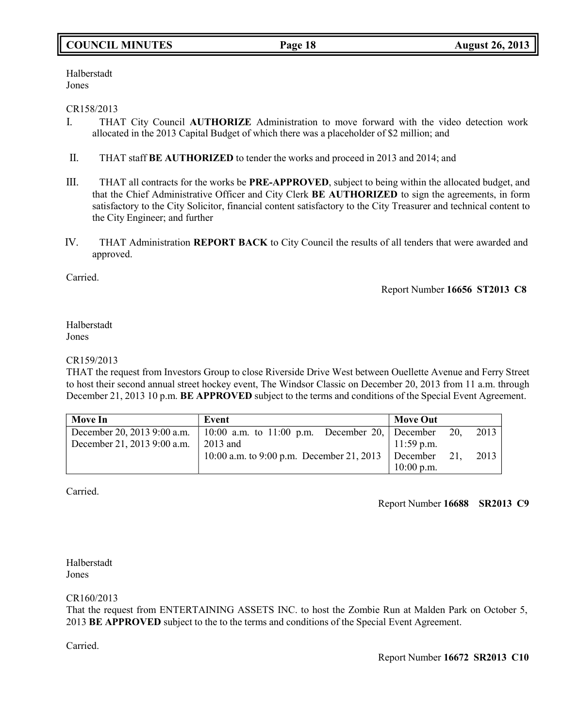# **COUNCIL MINUTES Page 18 August 26, 2013**

Halberstadt Jones

# CR158/2013

- I. THAT City Council **AUTHORIZE** Administration to move forward with the video detection work allocated in the 2013 Capital Budget of which there was a placeholder of \$2 million; and
- II. THAT staff **BE AUTHORIZED** to tender the works and proceed in 2013 and 2014; and
- III. THAT all contracts for the works be **PRE-APPROVED**, subject to being within the allocated budget, and that the Chief Administrative Officer and City Clerk **BE AUTHORIZED** to sign the agreements, in form satisfactory to the City Solicitor, financial content satisfactory to the City Treasurer and technical content to the City Engineer; and further
- IV. THAT Administration **REPORT BACK** to City Council the results of all tenders that were awarded and approved.

Carried.

Report Number **16656 ST2013 C8**

Halberstadt Jones

# CR159/2013

THAT the request from Investors Group to close Riverside Drive West between Ouellette Avenue and Ferry Street to host their second annual street hockey event, The Windsor Classic on December 20, 2013 from 11 a.m. through December 21, 2013 10 p.m. **BE APPROVED** subject to the terms and conditions of the Special Event Agreement.

| <b>Move In</b>              | Event                                                                          | <b>Move Out</b> |     |      |
|-----------------------------|--------------------------------------------------------------------------------|-----------------|-----|------|
|                             | December 20, 2013 9:00 a.m.   10:00 a.m. to 11:00 p.m. December 20,   December |                 | 20. | 2013 |
| December 21, 2013 9:00 a.m. | $2013$ and                                                                     | $11:59$ p.m.    |     |      |
|                             | 10:00 a.m. to 9:00 p.m. December 21, 2013 December 21,                         |                 |     | 2013 |
|                             |                                                                                | $10:00$ p.m.    |     |      |

Carried.

Report Number **16688 SR2013 C9**

Halberstadt Jones

CR160/2013

That the request from ENTERTAINING ASSETS INC. to host the Zombie Run at Malden Park on October 5, 2013 **BE APPROVED** subject to the to the terms and conditions of the Special Event Agreement.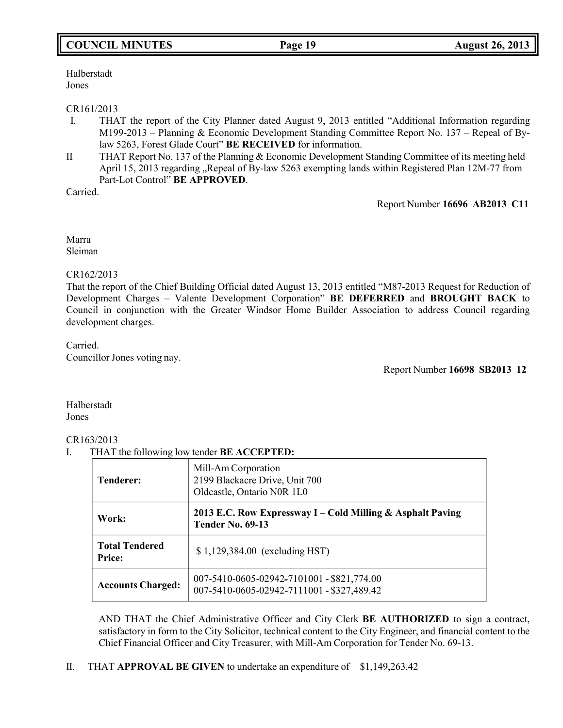# **COUNCIL MINUTES Page 19 August 26, 2013**

Halberstadt Jones

## CR161/2013

- I. THAT the report of the City Planner dated August 9, 2013 entitled "Additional Information regarding M199-2013 – Planning & Economic Development Standing Committee Report No. 137 – Repeal of Bylaw 5263, Forest Glade Court" **BE RECEIVED** for information.
- II THAT Report No. 137 of the Planning & Economic Development Standing Committee of its meeting held April 15, 2013 regarding "Repeal of By-law 5263 exempting lands within Registered Plan 12M-77 from Part-Lot Control" **BE APPROVED**.

Carried.

Report Number **16696 AB2013 C11**

Marra Sleiman

# CR162/2013

That the report of the Chief Building Official dated August 13, 2013 entitled "M87-2013 Request for Reduction of Development Charges – Valente Development Corporation" **BE DEFERRED** and **BROUGHT BACK** to Council in conjunction with the Greater Windsor Home Builder Association to address Council regarding development charges.

Carried.

Councillor Jones voting nay.

Report Number **16698 SB2013 12**

Halberstadt Jones

# CR163/2013

I. THAT the following low tender **BE ACCEPTED:**

| <b>Tenderer:</b>                       | Mill-Am Corporation<br>2199 Blackacre Drive, Unit 700<br>Oldcastle, Ontario N0R 1L0      |
|----------------------------------------|------------------------------------------------------------------------------------------|
| Work:                                  | 2013 E.C. Row Expressway I – Cold Milling & Asphalt Paving<br><b>Tender No. 69-13</b>    |
| <b>Total Tendered</b><br><b>Price:</b> | $$1,129,384.00$ (excluding HST)                                                          |
| <b>Accounts Charged:</b>               | 007-5410-0605-02942-7101001 - \$821,774.00<br>007-5410-0605-02942-7111001 - \$327,489.42 |

AND THAT the Chief Administrative Officer and City Clerk **BE AUTHORIZED** to sign a contract, satisfactory in form to the City Solicitor, technical content to the City Engineer, and financial content to the Chief Financial Officer and City Treasurer, with Mill-Am Corporation for Tender No. 69-13.

II. THAT **APPROVAL BE GIVEN** to undertake an expenditure of \$1,149,263.42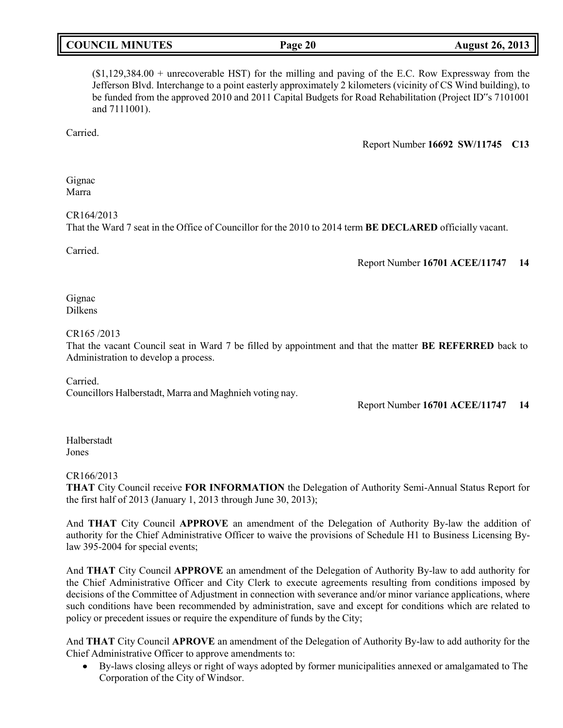| <b>COUNCIL MINUTES</b> | Page 20 | <b>August 26, 2013</b> |
|------------------------|---------|------------------------|

(\$1,129,384.00 + unrecoverable HST) for the milling and paving of the E.C. Row Expressway from the Jefferson Blvd. Interchange to a point easterly approximately 2 kilometers (vicinity of CS Wind building), to be funded from the approved 2010 and 2011 Capital Budgets for Road Rehabilitation (Project ID"s 7101001 and 7111001).

Carried.

Report Number **16692 SW/11745 C13**

Gignac Marra

CR164/2013

That the Ward 7 seat in the Office of Councillor for the 2010 to 2014 term **BE DECLARED** officially vacant.

Carried.

Report Number **16701 ACEE/11747 14**

Gignac Dilkens

CR165 /2013

That the vacant Council seat in Ward 7 be filled by appointment and that the matter **BE REFERRED** back to Administration to develop a process.

Carried.

Councillors Halberstadt, Marra and Maghnieh voting nay.

Report Number **16701 ACEE/11747 14**

Halberstadt Jones

CR166/2013

**THAT** City Council receive **FOR INFORMATION** the Delegation of Authority Semi-Annual Status Report for the first half of 2013 (January 1, 2013 through June 30, 2013);

And **THAT** City Council **APPROVE** an amendment of the Delegation of Authority By-law the addition of authority for the Chief Administrative Officer to waive the provisions of Schedule H1 to Business Licensing Bylaw 395-2004 for special events;

And **THAT** City Council **APPROVE** an amendment of the Delegation of Authority By-law to add authority for the Chief Administrative Officer and City Clerk to execute agreements resulting from conditions imposed by decisions of the Committee of Adjustment in connection with severance and/or minor variance applications, where such conditions have been recommended by administration, save and except for conditions which are related to policy or precedent issues or require the expenditure of funds by the City;

And **THAT** City Council **APROVE** an amendment of the Delegation of Authority By-law to add authority for the Chief Administrative Officer to approve amendments to:

 By-laws closing alleys or right of ways adopted by former municipalities annexed or amalgamated to The Corporation of the City of Windsor.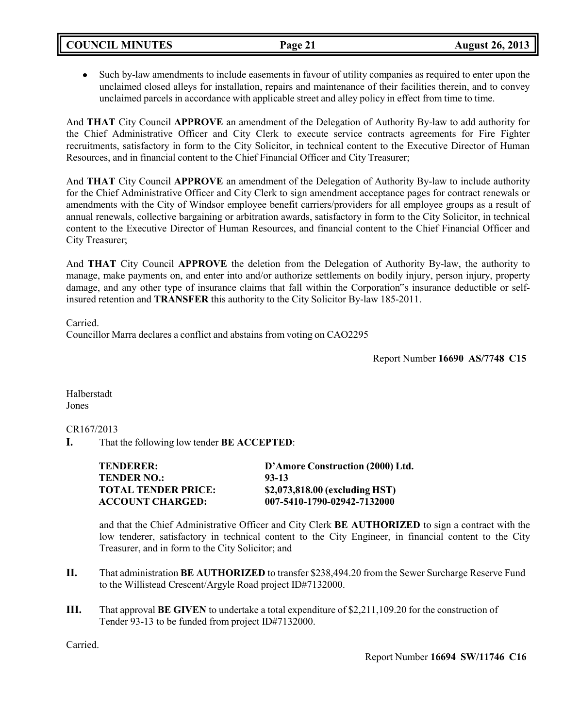Such by-law amendments to include easements in favour of utility companies as required to enter upon the unclaimed closed alleys for installation, repairs and maintenance of their facilities therein, and to convey unclaimed parcels in accordance with applicable street and alley policy in effect from time to time.

And **THAT** City Council **APPROVE** an amendment of the Delegation of Authority By-law to add authority for the Chief Administrative Officer and City Clerk to execute service contracts agreements for Fire Fighter recruitments, satisfactory in form to the City Solicitor, in technical content to the Executive Director of Human Resources, and in financial content to the Chief Financial Officer and City Treasurer;

And **THAT** City Council **APPROVE** an amendment of the Delegation of Authority By-law to include authority for the Chief Administrative Officer and City Clerk to sign amendment acceptance pages for contract renewals or amendments with the City of Windsor employee benefit carriers/providers for all employee groups as a result of annual renewals, collective bargaining or arbitration awards, satisfactory in form to the City Solicitor, in technical content to the Executive Director of Human Resources, and financial content to the Chief Financial Officer and City Treasurer;

And **THAT** City Council **APPROVE** the deletion from the Delegation of Authority By-law, the authority to manage, make payments on, and enter into and/or authorize settlements on bodily injury, person injury, property damage, and any other type of insurance claims that fall within the Corporation"s insurance deductible or selfinsured retention and **TRANSFER** this authority to the City Solicitor By-law 185-2011.

Carried.

Councillor Marra declares a conflict and abstains from voting on CAO2295

Report Number **16690 AS/7748 C15**

Halberstadt Jones

# CR167/2013

**I.** That the following low tender **BE ACCEPTED**:

| <b>TENDERER:</b>    | D'Amore Construction (2000) Ltd. |
|---------------------|----------------------------------|
| TENDER NO.:         | 93-13                            |
| TOTAL TENDER PRICE: | \$2,073,818.00 (excluding HST)   |
| ACCOUNT CHARGED:    | 007-5410-1790-02942-7132000      |

and that the Chief Administrative Officer and City Clerk **BE AUTHORIZED** to sign a contract with the low tenderer, satisfactory in technical content to the City Engineer, in financial content to the City Treasurer, and in form to the City Solicitor; and

- **II.** That administration **BE AUTHORIZED** to transfer \$238,494.20 from the Sewer Surcharge Reserve Fund to the Willistead Crescent/Argyle Road project ID#7132000.
- **III.** That approval **BE GIVEN** to undertake a total expenditure of \$2,211,109.20 for the construction of Tender 93-13 to be funded from project ID#7132000.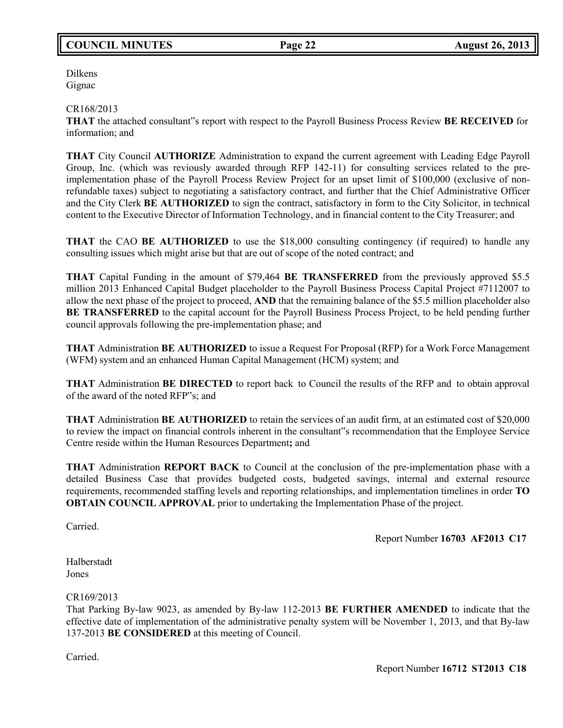# **COUNCIL MINUTES Page 22 August 26, 2013**

Dilkens Gignac

## CR168/2013

**THAT** the attached consultant"s report with respect to the Payroll Business Process Review **BE RECEIVED** for information; and

**THAT** City Council **AUTHORIZE** Administration to expand the current agreement with Leading Edge Payroll Group, Inc. (which was reviously awarded through RFP 142-11) for consulting services related to the preimplementation phase of the Payroll Process Review Project for an upset limit of \$100,000 (exclusive of nonrefundable taxes) subject to negotiating a satisfactory contract, and further that the Chief Administrative Officer and the City Clerk **BE AUTHORIZED** to sign the contract, satisfactory in form to the City Solicitor, in technical content to the Executive Director of Information Technology, and in financial content to the City Treasurer; and

**THAT** the CAO **BE AUTHORIZED** to use the \$18,000 consulting contingency (if required) to handle any consulting issues which might arise but that are out of scope of the noted contract; and

**THAT** Capital Funding in the amount of \$79,464 **BE TRANSFERRED** from the previously approved \$5.5 million 2013 Enhanced Capital Budget placeholder to the Payroll Business Process Capital Project #7112007 to allow the next phase of the project to proceed, **AND** that the remaining balance of the \$5.5 million placeholder also **BE TRANSFERRED** to the capital account for the Payroll Business Process Project, to be held pending further council approvals following the pre-implementation phase; and

**THAT** Administration **BE AUTHORIZED** to issue a Request For Proposal (RFP) for a Work Force Management (WFM) system and an enhanced Human Capital Management (HCM) system; and

**THAT** Administration **BE DIRECTED** to report back to Council the results of the RFP and to obtain approval of the award of the noted RFP"s; and

**THAT** Administration **BE AUTHORIZED** to retain the services of an audit firm, at an estimated cost of \$20,000 to review the impact on financial controls inherent in the consultant"s recommendation that the Employee Service Centre reside within the Human Resources Department**;** and

**THAT** Administration **REPORT BACK** to Council at the conclusion of the pre-implementation phase with a detailed Business Case that provides budgeted costs, budgeted savings, internal and external resource requirements, recommended staffing levels and reporting relationships, and implementation timelines in order **TO OBTAIN COUNCIL APPROVAL** prior to undertaking the Implementation Phase of the project.

Carried.

Report Number **16703 AF2013 C17**

Halberstadt Jones

CR169/2013

That Parking By-law 9023, as amended by By-law 112-2013 **BE FURTHER AMENDED** to indicate that the effective date of implementation of the administrative penalty system will be November 1, 2013, and that By-law 137-2013 **BE CONSIDERED** at this meeting of Council.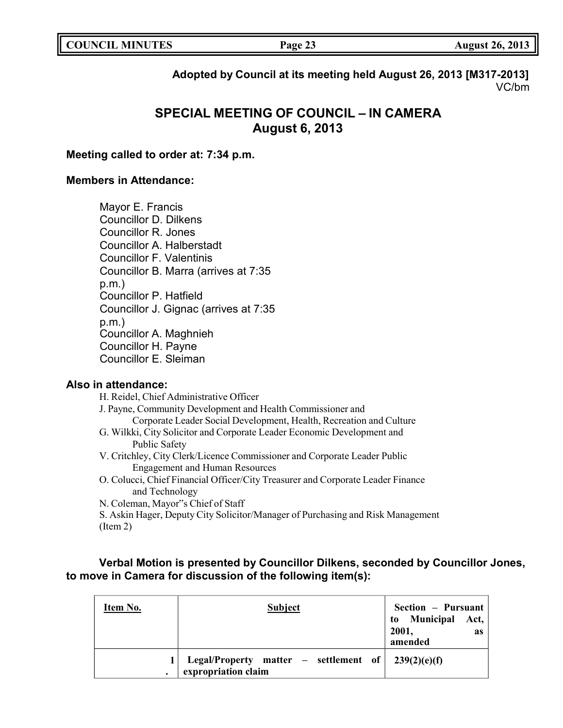| <b>COUNCIL MINUTES</b> | Page 23 | <b>August 26, 2013</b> |
|------------------------|---------|------------------------|
|                        |         |                        |

# **Adopted by Council at its meeting held August 26, 2013 [M317-2013]** VC/bm

# **SPECIAL MEETING OF COUNCIL – IN CAMERA August 6, 2013**

# **Meeting called to order at: 7:34 p.m.**

# **Members in Attendance:**

Mayor E. Francis Councillor D. Dilkens Councillor R. Jones Councillor A. Halberstadt Councillor F. Valentinis Councillor B. Marra (arrives at 7:35 p.m.) Councillor P. Hatfield Councillor J. Gignac (arrives at 7:35 p.m.) Councillor A. Maghnieh Councillor H. Payne Councillor E. Sleiman

# **Also in attendance:**

H. Reidel, Chief Administrative Officer J. Payne, Community Development and Health Commissioner and Corporate Leader Social Development, Health, Recreation and Culture G. Wilkki, City Solicitor and Corporate Leader Economic Development and Public Safety V. Critchley, City Clerk/Licence Commissioner and Corporate Leader Public Engagement and Human Resources O. Colucci, Chief Financial Officer/City Treasurer and Corporate Leader Finance and Technology N. Coleman, Mayor"s Chief of Staff S. Askin Hager, Deputy City Solicitor/Manager of Purchasing and Risk Management

(Item 2)

# **Verbal Motion is presented by Councillor Dilkens, seconded by Councillor Jones, to move in Camera for discussion of the following item(s):**

| Item No.  | <b>Subject</b>                                                 | Section - Pursuant<br>to Municipal Act,<br>2001,<br>as<br>amended |
|-----------|----------------------------------------------------------------|-------------------------------------------------------------------|
| $\bullet$ | Legal/Property matter $-$ settlement of<br>expropriation claim | 239(2)(e)(f)                                                      |